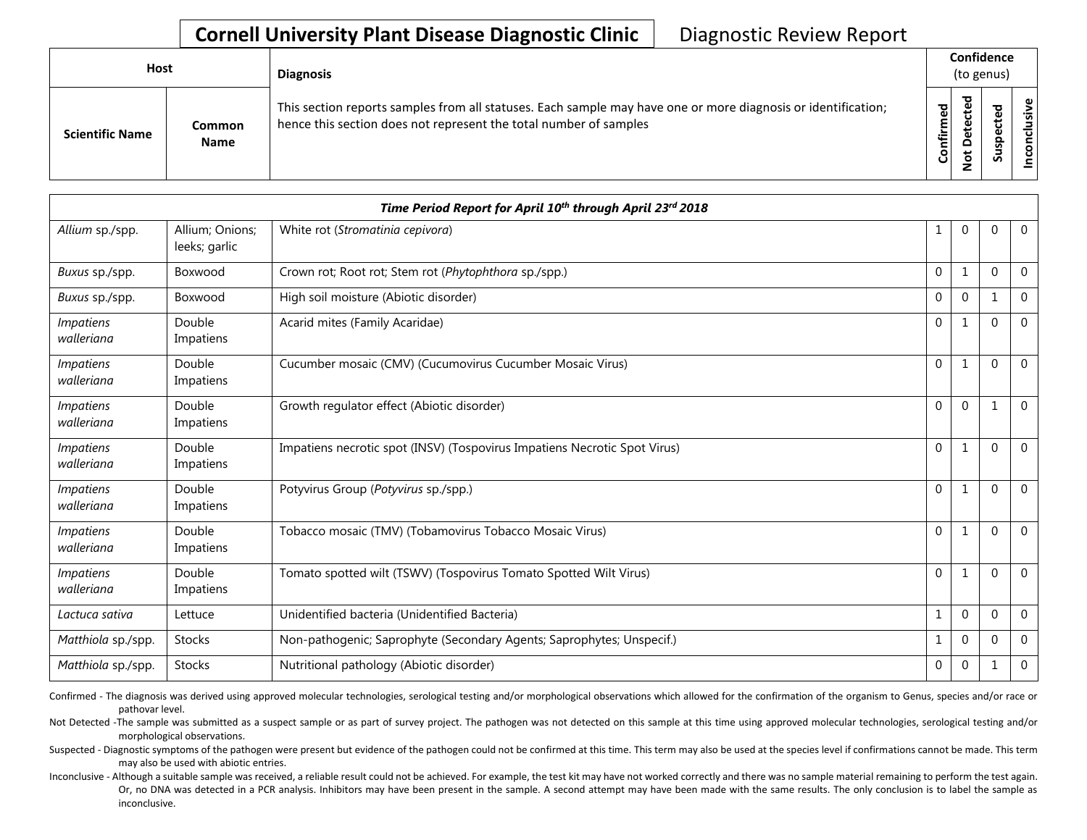| <b>Host</b>            |                       | <b>Diagnosis</b>                                                                                                                                                                   |           | Confidence<br>(to genus) |             |                    |  |  |  |  |
|------------------------|-----------------------|------------------------------------------------------------------------------------------------------------------------------------------------------------------------------------|-----------|--------------------------|-------------|--------------------|--|--|--|--|
| <b>Scientific Name</b> | Common<br><b>Name</b> | This section reports samples from all statuses. Each sample may have one or more diagnosis or identification;<br>hence this section does not represent the total number of samples | Confirmed | ᇃ<br>$\Omega$<br>سە      | ۹<br>ب<br>n | usive<br>᠊ᠣ<br>CON |  |  |  |  |

|                                |                                  | Time Period Report for April 10th through April 23rd 2018                 |              |                |          |                |
|--------------------------------|----------------------------------|---------------------------------------------------------------------------|--------------|----------------|----------|----------------|
| Allium sp./spp.                | Allium; Onions;<br>leeks; garlic | White rot (Stromatinia cepivora)                                          |              | $\mathbf{0}$   | $\Omega$ | $\mathbf{0}$   |
| Buxus sp./spp.                 | Boxwood                          | Crown rot; Root rot; Stem rot (Phytophthora sp./spp.)                     | $\mathbf{0}$ | 1              | $\Omega$ | $\mathbf{0}$   |
| Buxus sp./spp.                 | Boxwood                          | High soil moisture (Abiotic disorder)                                     | $\mathbf{0}$ | $\Omega$       |          | $\Omega$       |
| <i>Impatiens</i><br>walleriana | Double<br>Impatiens              | Acarid mites (Family Acaridae)                                            | $\mathbf 0$  |                | $\Omega$ | $\mathbf{0}$   |
| <i>Impatiens</i><br>walleriana | Double<br>Impatiens              | Cucumber mosaic (CMV) (Cucumovirus Cucumber Mosaic Virus)                 | $\mathbf 0$  | 1              | $\Omega$ | $\mathbf{0}$   |
| <b>Impatiens</b><br>walleriana | Double<br>Impatiens              | Growth regulator effect (Abiotic disorder)                                | $\mathbf 0$  | $\mathbf{0}$   |          | $\Omega$       |
| <i>Impatiens</i><br>walleriana | Double<br>Impatiens              | Impatiens necrotic spot (INSV) (Tospovirus Impatiens Necrotic Spot Virus) | 0            | 1              | $\Omega$ | $\mathbf{0}$   |
| <i>Impatiens</i><br>walleriana | Double<br>Impatiens              | Potyvirus Group (Potyvirus sp./spp.)                                      | $\mathbf{0}$ | 1              | $\Omega$ | $\overline{0}$ |
| <b>Impatiens</b><br>walleriana | Double<br>Impatiens              | Tobacco mosaic (TMV) (Tobamovirus Tobacco Mosaic Virus)                   | $\mathbf{0}$ | $\mathbf{1}$   | $\Omega$ | $\overline{0}$ |
| <i>Impatiens</i><br>walleriana | Double<br>Impatiens              | Tomato spotted wilt (TSWV) (Tospovirus Tomato Spotted Wilt Virus)         | $\mathbf 0$  | 1              | $\Omega$ | $\Omega$       |
| Lactuca sativa                 | Lettuce                          | Unidentified bacteria (Unidentified Bacteria)                             | 1            | $\mathbf{0}$   | $\Omega$ | $\mathbf 0$    |
| Matthiola sp./spp.             | <b>Stocks</b>                    | Non-pathogenic; Saprophyte (Secondary Agents; Saprophytes; Unspecif.)     | 1            | $\Omega$       | $\Omega$ | $\Omega$       |
| Matthiola sp./spp.             | Stocks                           | Nutritional pathology (Abiotic disorder)                                  | 0            | $\overline{0}$ |          | $\mathbf 0$    |

Confirmed - The diagnosis was derived using approved molecular technologies, serological testing and/or morphological observations which allowed for the confirmation of the organism to Genus, species and/or race or pathovar level.

Not Detected -The sample was submitted as a suspect sample or as part of survey project. The pathogen was not detected on this sample at this time using approved molecular technologies, serological testing and/or morphological observations.

Suspected - Diagnostic symptoms of the pathogen were present but evidence of the pathogen could not be confirmed at this time. This term may also be used at the species level if confirmations cannot be made. This term may also be used with abiotic entries.

Inconclusive - Although a suitable sample was received, a reliable result could not be achieved. For example, the test kit may have not worked correctly and there was no sample material remaining to perform the test again. Or, no DNA was detected in a PCR analysis. Inhibitors may have been present in the sample. A second attempt may have been made with the same results. The only conclusion is to label the sample as inconclusive.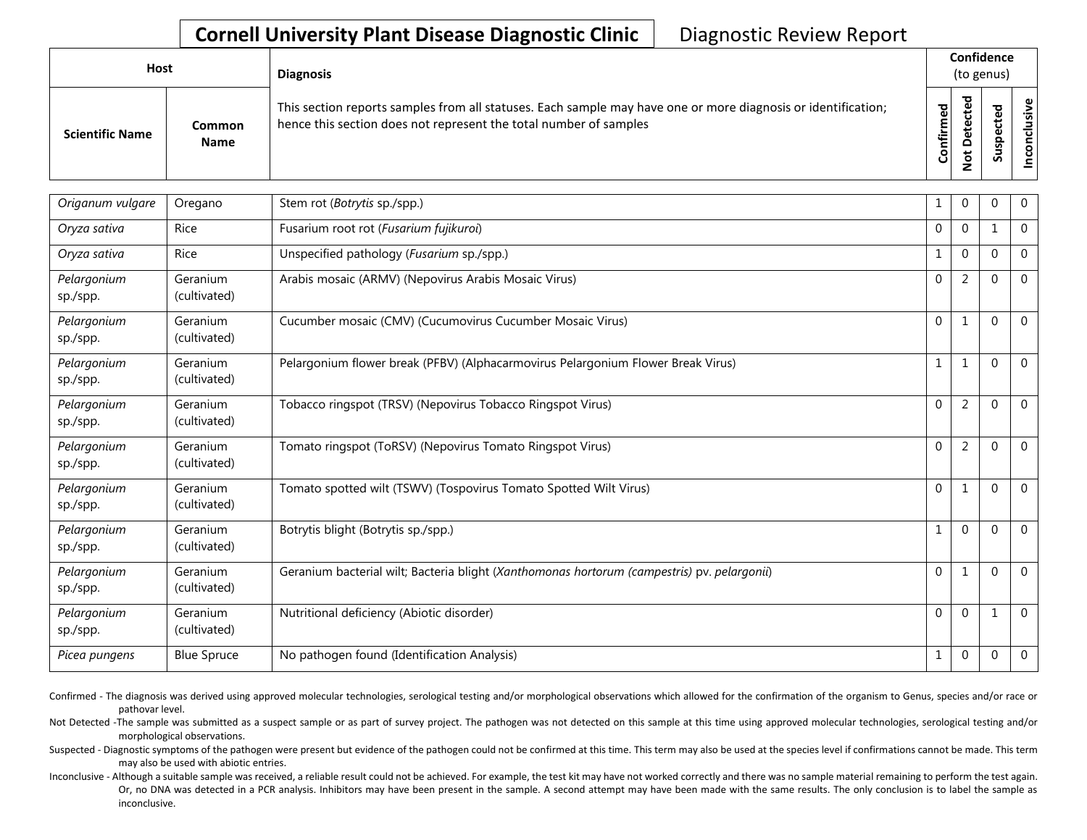| <b>Host</b>            |                       | <b>Diagnosis</b>                                                                                                                                                                   |           | Confidence<br>(to genus)           |   |         |
|------------------------|-----------------------|------------------------------------------------------------------------------------------------------------------------------------------------------------------------------------|-----------|------------------------------------|---|---------|
| <b>Scientific Name</b> | Common<br><b>Name</b> | This section reports samples from all statuses. Each sample may have one or more diagnosis or identification;<br>hence this section does not represent the total number of samples | Confirmed | ᇃ<br>Φ<br>سه<br>$\Omega$<br>پ<br>- | ശ | Φ<br>śς |

| Origanum vulgare        | Oregano                  | Stem rot (Botrytis sp./spp.)                                                                | 1            | $\mathbf 0$    | $\Omega$ | $\mathbf 0$    |
|-------------------------|--------------------------|---------------------------------------------------------------------------------------------|--------------|----------------|----------|----------------|
| Oryza sativa            | Rice                     | Fusarium root rot (Fusarium fujikuroi)                                                      | $\Omega$     | $\mathbf{0}$   |          | $\mathbf{0}$   |
| Oryza sativa            | Rice                     | Unspecified pathology (Fusarium sp./spp.)                                                   | 1            | $\mathbf 0$    | $\Omega$ | $\overline{0}$ |
| Pelargonium<br>sp./spp. | Geranium<br>(cultivated) | Arabis mosaic (ARMV) (Nepovirus Arabis Mosaic Virus)                                        | $\mathbf{0}$ | 2              | $\Omega$ | $\mathbf 0$    |
| Pelargonium<br>sp./spp. | Geranium<br>(cultivated) | Cucumber mosaic (CMV) (Cucumovirus Cucumber Mosaic Virus)                                   | $\mathbf{0}$ | 1              | $\Omega$ | $\mathbf{0}$   |
| Pelargonium<br>sp./spp. | Geranium<br>(cultivated) | Pelargonium flower break (PFBV) (Alphacarmovirus Pelargonium Flower Break Virus)            | 1            | 1              | $\Omega$ | $\mathbf 0$    |
| Pelargonium<br>sp./spp. | Geranium<br>(cultivated) | Tobacco ringspot (TRSV) (Nepovirus Tobacco Ringspot Virus)                                  | $\mathbf{0}$ | 2              | $\Omega$ | $\overline{0}$ |
| Pelargonium<br>sp./spp. | Geranium<br>(cultivated) | Tomato ringspot (ToRSV) (Nepovirus Tomato Ringspot Virus)                                   | $\mathbf{0}$ | $\overline{2}$ | $\Omega$ | $\overline{0}$ |
| Pelargonium<br>sp./spp. | Geranium<br>(cultivated) | Tomato spotted wilt (TSWV) (Tospovirus Tomato Spotted Wilt Virus)                           | $\mathbf{0}$ | 1              | $\Omega$ | $\mathbf{0}$   |
| Pelargonium<br>sp./spp. | Geranium<br>(cultivated) | Botrytis blight (Botrytis sp./spp.)                                                         |              | $\Omega$       | $\Omega$ | $\mathbf{0}$   |
| Pelargonium<br>sp./spp. | Geranium<br>(cultivated) | Geranium bacterial wilt; Bacteria blight (Xanthomonas hortorum (campestris) pv. pelargonii) | $\mathbf 0$  | 1              | $\Omega$ | $\overline{0}$ |
| Pelargonium<br>sp./spp. | Geranium<br>(cultivated) | Nutritional deficiency (Abiotic disorder)                                                   | $\Omega$     | $\Omega$       |          | $\Omega$       |
| Picea pungens           | <b>Blue Spruce</b>       | No pathogen found (Identification Analysis)                                                 | 1            | $\mathbf 0$    | $\Omega$ | $\mathbf{0}$   |

Confirmed - The diagnosis was derived using approved molecular technologies, serological testing and/or morphological observations which allowed for the confirmation of the organism to Genus, species and/or race or pathovar level.

Not Detected -The sample was submitted as a suspect sample or as part of survey project. The pathogen was not detected on this sample at this time using approved molecular technologies, serological testing and/or morphological observations.

Suspected - Diagnostic symptoms of the pathogen were present but evidence of the pathogen could not be confirmed at this time. This term may also be used at the species level if confirmations cannot be made. This term may also be used with abiotic entries.

Inconclusive - Although a suitable sample was received, a reliable result could not be achieved. For example, the test kit may have not worked correctly and there was no sample material remaining to perform the test again. Or, no DNA was detected in a PCR analysis. Inhibitors may have been present in the sample. A second attempt may have been made with the same results. The only conclusion is to label the sample as inconclusive.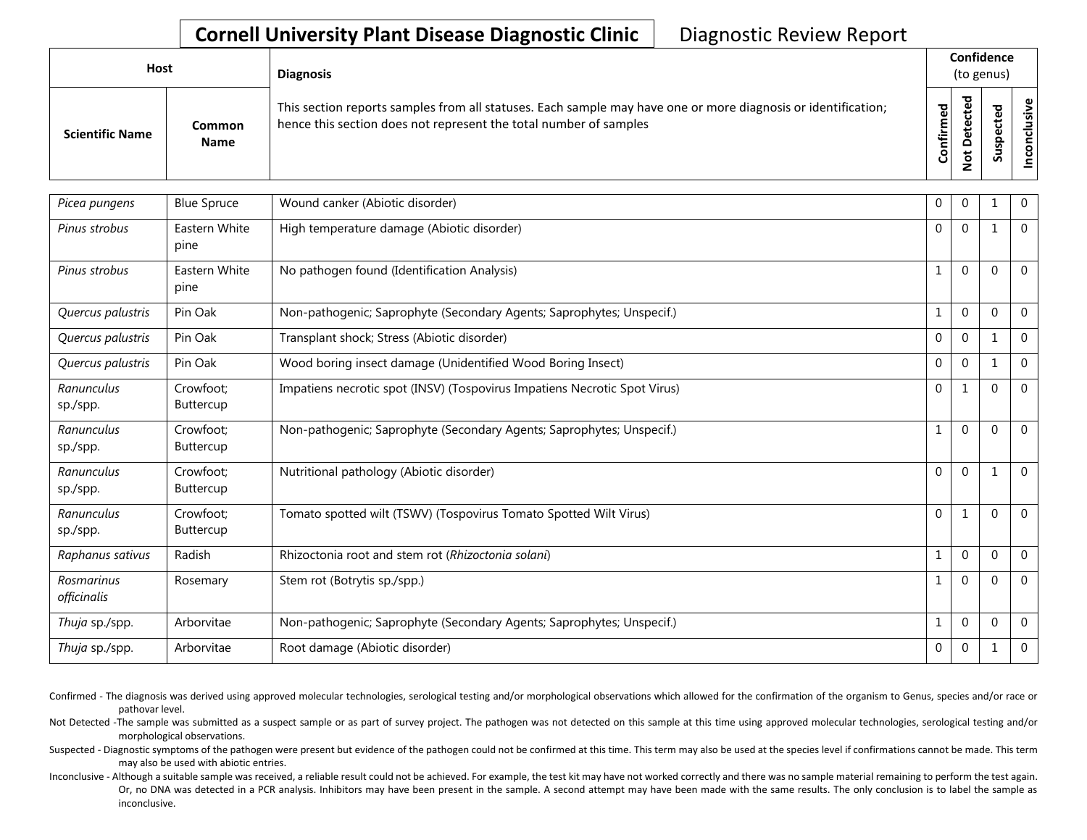| Host                   |                              | <b>Diagnosis</b>                                                                                                                                                                   |           | Confidence<br>(to genus) |  |                  |  |  |  |
|------------------------|------------------------------|------------------------------------------------------------------------------------------------------------------------------------------------------------------------------------|-----------|--------------------------|--|------------------|--|--|--|
| <b>Scientific Name</b> | <b>Common</b><br><b>Name</b> | This section reports samples from all statuses. Each sample may have one or more diagnosis or identification;<br>hence this section does not represent the total number of samples | Confirmed | ᇃ<br>۵<br>پ              |  | ω,<br>usiv<br>᠊ᠣ |  |  |  |

| Picea pungens             | <b>Blue Spruce</b>            | Wound canker (Abiotic disorder)                                           | $\Omega$     | 0            |              | $\mathbf 0$    |
|---------------------------|-------------------------------|---------------------------------------------------------------------------|--------------|--------------|--------------|----------------|
| Pinus strobus             | Eastern White<br>pine         | High temperature damage (Abiotic disorder)                                | $\Omega$     | $\mathbf{0}$ | $\mathbf{1}$ | $\mathbf 0$    |
| Pinus strobus             | Eastern White<br>pine         | No pathogen found (Identification Analysis)                               | 1            | $\mathbf{0}$ | $\Omega$     | $\overline{0}$ |
| Quercus palustris         | Pin Oak                       | Non-pathogenic; Saprophyte (Secondary Agents; Saprophytes; Unspecif.)     | $\mathbf{1}$ | $\mathbf{0}$ | $\Omega$     | $\Omega$       |
| Quercus palustris         | Pin Oak                       | Transplant shock; Stress (Abiotic disorder)                               | $\Omega$     | $\mathbf{0}$ |              | $\Omega$       |
| Quercus palustris         | Pin Oak                       | Wood boring insect damage (Unidentified Wood Boring Insect)               | $\Omega$     | $\mathbf{0}$ |              | $\Omega$       |
| Ranunculus<br>sp./spp.    | Crowfoot;<br><b>Buttercup</b> | Impatiens necrotic spot (INSV) (Tospovirus Impatiens Necrotic Spot Virus) | $\Omega$     | $\mathbf{1}$ | $\Omega$     | $\Omega$       |
| Ranunculus<br>sp./spp.    | Crowfoot;<br><b>Buttercup</b> | Non-pathogenic; Saprophyte (Secondary Agents; Saprophytes; Unspecif.)     | $\mathbf{1}$ | $\mathbf{0}$ | $\Omega$     | $\mathbf 0$    |
| Ranunculus<br>sp./spp.    | Crowfoot:<br><b>Buttercup</b> | Nutritional pathology (Abiotic disorder)                                  | $\mathbf{0}$ | $\mathbf{0}$ |              | $\Omega$       |
| Ranunculus<br>sp./spp.    | Crowfoot:<br>Buttercup        | Tomato spotted wilt (TSWV) (Tospovirus Tomato Spotted Wilt Virus)         | $\Omega$     | $\mathbf{1}$ | $\Omega$     | $\mathbf{0}$   |
| Raphanus sativus          | Radish                        | Rhizoctonia root and stem rot (Rhizoctonia solani)                        | 1            | $\mathbf{0}$ | $\mathbf{0}$ | $\overline{0}$ |
| Rosmarinus<br>officinalis | Rosemary                      | Stem rot (Botrytis sp./spp.)                                              | 1            | $\mathbf{0}$ | $\Omega$     | $\overline{0}$ |
| Thuja sp./spp.            | Arborvitae                    | Non-pathogenic; Saprophyte (Secondary Agents; Saprophytes; Unspecif.)     | $\mathbf{1}$ | $\mathbf{0}$ | $\Omega$     | $\theta$       |
| Thuja sp./spp.            | Arborvitae                    | Root damage (Abiotic disorder)                                            | $\Omega$     | $\Omega$     |              | $\Omega$       |

Confirmed - The diagnosis was derived using approved molecular technologies, serological testing and/or morphological observations which allowed for the confirmation of the organism to Genus, species and/or race or pathovar level.

Not Detected -The sample was submitted as a suspect sample or as part of survey project. The pathogen was not detected on this sample at this time using approved molecular technologies, serological testing and/or morphological observations.

Suspected - Diagnostic symptoms of the pathogen were present but evidence of the pathogen could not be confirmed at this time. This term may also be used at the species level if confirmations cannot be made. This term may also be used with abiotic entries.

Inconclusive - Although a suitable sample was received, a reliable result could not be achieved. For example, the test kit may have not worked correctly and there was no sample material remaining to perform the test again. Or, no DNA was detected in a PCR analysis. Inhibitors may have been present in the sample. A second attempt may have been made with the same results. The only conclusion is to label the sample as inconclusive.